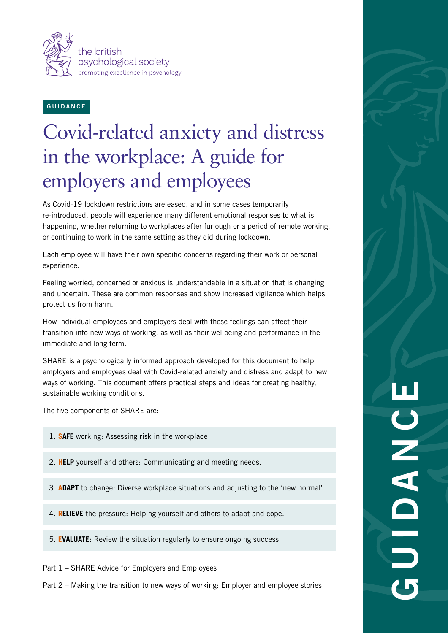

#### **GUIDANCE**

# Covid-related anxiety and distress in the workplace: A guide for employers and employees

As Covid-19 lockdown restrictions are eased, and in some cases temporarily re-introduced, people will experience many different emotional responses to what is happening, whether returning to workplaces after furlough or a period of remote working, or continuing to work in the same setting as they did during lockdown.

Each employee will have their own specific concerns regarding their work or personal experience.

Feeling worried, concerned or anxious is understandable in a situation that is changing and uncertain. These are common responses and show increased vigilance which helps protect us from harm.

How individual employees and employers deal with these feelings can affect their transition into new ways of working, as well as their wellbeing and performance in the immediate and long term.

SHARE is a psychologically informed approach developed for this document to help employers and employees deal with Covid-related anxiety and distress and adapt to new ways of working. This document offers practical steps and ideas for creating healthy, sustainable working conditions.

The five components of SHARE are:

- 1. **SAFE** working: Assessing risk in the workplace
- 2. **HELP** yourself and others: Communicating and meeting needs.
- 3. **ADAPT** to change: Diverse workplace situations and adjusting to the 'new normal'
- 4. **RELIEVE** the pressure: Helping yourself and others to adapt and cope.
- 5. **EVALUATE**: Review the situation regularly to ensure ongoing success

Part 1 – SHARE Advice for Employers and Employees

Part 2 – Making the transition to new ways of working: Employer and employee stories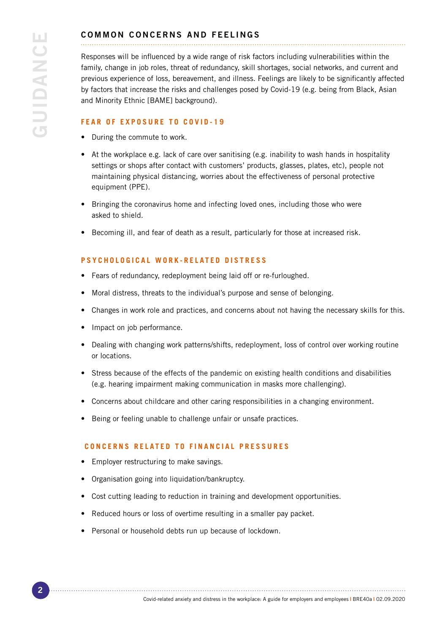### COMMON CONCERNS AND FEELINGS

Responses will be influenced by a wide range of risk factors including vulnerabilities within the family, change in job roles, threat of redundancy, skill shortages, social networks, and current and previous experience of loss, bereavement, and illness. Feelings are likely to be significantly affected by factors that increase the risks and challenges posed by Covid-19 (e.g. being from Black, Asian and Minority Ethnic [BAME] background).

#### **FEAR OF EXPOSURE TO COVID-19**

- During the commute to work.
- At the workplace e.g. lack of care over sanitising (e.g. inability to wash hands in hospitality settings or shops after contact with customers' products, glasses, plates, etc), people not maintaining physical distancing, worries about the effectiveness of personal protective equipment (PPE).
- Bringing the coronavirus home and infecting loved ones, including those who were asked to shield.
- Becoming ill, and fear of death as a result, particularly for those at increased risk.

#### **PSYCHOLOGICAL WORK-RELATED DISTRESS**

- Fears of redundancy, redeployment being laid off or re-furloughed.
- Moral distress, threats to the individual's purpose and sense of belonging.
- Changes in work role and practices, and concerns about not having the necessary skills for this.
- Impact on job performance.
- Dealing with changing work patterns/shifts, redeployment, loss of control over working routine or locations.
- Stress because of the effects of the pandemic on existing health conditions and disabilities (e.g. hearing impairment making communication in masks more challenging).
- Concerns about childcare and other caring responsibilities in a changing environment.
- Being or feeling unable to challenge unfair or unsafe practices.

#### **CONCERNS RELATED TO FINANCIAL PRESSURES**

- Employer restructuring to make savings.
- Organisation going into liquidation/bankruptcy.
- Cost cutting leading to reduction in training and development opportunities.
- Reduced hours or loss of overtime resulting in a smaller pay packet.
- Personal or household debts run up because of lockdown.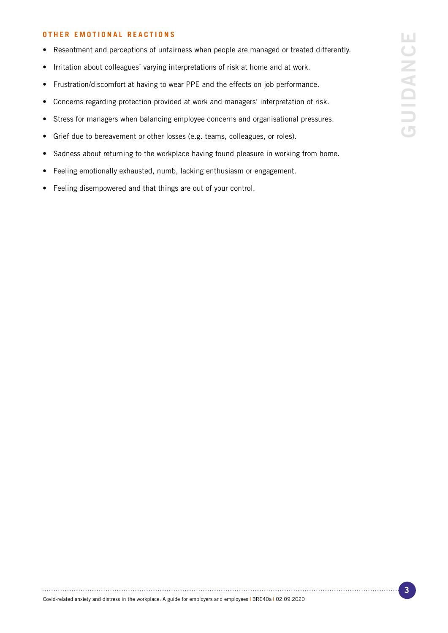#### **OTHER EMOTIONAL REACTIONS**

- Resentment and perceptions of unfairness when people are managed or treated differently.
- Irritation about colleagues' varying interpretations of risk at home and at work.
- Frustration/discomfort at having to wear PPE and the effects on job performance.
- Concerns regarding protection provided at work and managers' interpretation of risk.
- Stress for managers when balancing employee concerns and organisational pressures.
- Grief due to bereavement or other losses (e.g. teams, colleagues, or roles).
- Sadness about returning to the workplace having found pleasure in working from home.
- Feeling emotionally exhausted, numb, lacking enthusiasm or engagement.
- Feeling disempowered and that things are out of your control.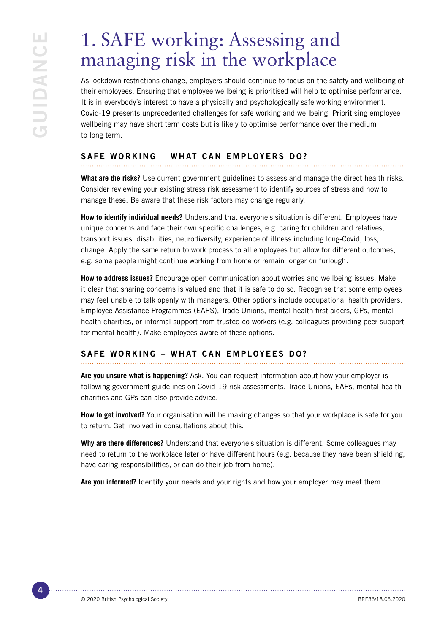## 1. SAFE working: Assessing and managing risk in the workplace

As lockdown restrictions change, employers should continue to focus on the safety and wellbeing of their employees. Ensuring that employee wellbeing is prioritised will help to optimise performance. It is in everybody's interest to have a physically and psychologically safe working environment. Covid-19 presents unprecedented challenges for safe working and wellbeing. Prioritising employee wellbeing may have short term costs but is likely to optimise performance over the medium to long term.

### SAFE WORKING – WHAT CAN EMPLOYERS DO?

**What are the risks?** Use current government guidelines to assess and manage the direct health risks. Consider reviewing your existing stress risk assessment to identify sources of stress and how to manage these. Be aware that these risk factors may change regularly.

**How to identify individual needs?** Understand that everyone's situation is different. Employees have unique concerns and face their own specific challenges, e.g. caring for children and relatives, transport issues, disabilities, neurodiversity, experience of illness including long-Covid, loss, change. Apply the same return to work process to all employees but allow for different outcomes, e.g. some people might continue working from home or remain longer on furlough.

**How to address issues?** Encourage open communication about worries and wellbeing issues. Make it clear that sharing concerns is valued and that it is safe to do so. Recognise that some employees may feel unable to talk openly with managers. Other options include occupational health providers, Employee Assistance Programmes (EAPS), Trade Unions, mental health first aiders, GPs, mental health charities, or informal support from trusted co-workers (e.g. colleagues providing peer support for mental health). Make employees aware of these options.

### SAFE WORKING – WHAT CAN EMPLOYEES DO?

**Are you unsure what is happening?** Ask. You can request information about how your employer is following government guidelines on Covid-19 risk assessments. Trade Unions, EAPs, mental health charities and GPs can also provide advice.

**How to get involved?** Your organisation will be making changes so that your workplace is safe for you to return. Get involved in consultations about this.

**Why are there differences?** Understand that everyone's situation is different. Some colleagues may need to return to the workplace later or have different hours (e.g. because they have been shielding, have caring responsibilities, or can do their job from home).

**Are you informed?** Identify your needs and your rights and how your employer may meet them.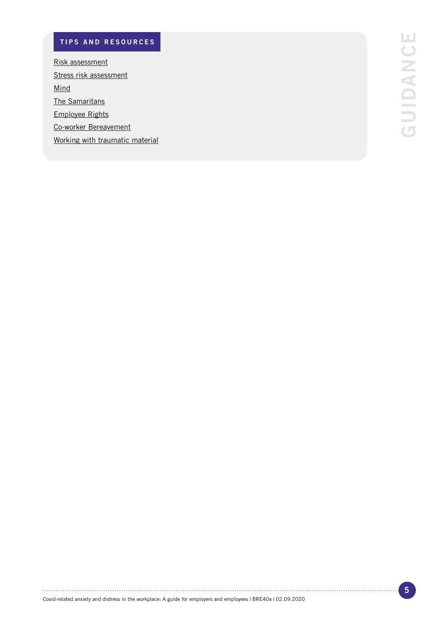## TIPS AND RESOURCES

[Risk assessment](https://www.gov.uk/guidance/working-safely-during-coronavirus-covid-19) [Stress risk assessment](https://www.hse.gov.uk/stress/) [Mind](https://www.mind.org.uk/information-support/coronavirus/coronavirus-and-your-wellbeing/) [The Samaritans](https://www.samaritans.org/) [Employee Rights](https://www.acas.org.uk/coronavirus) [Co-worker Bereavement](https://www.bps.org.uk/coronavirus-resources/public/death-colleague) [Working with traumatic material](https://www.bps.org.uk/coronavirus-resources/professional/taking-trauma-home)

Covid-related anxiety and distress in the workplace: A guide for employers and employees **|** BRE40a **|** 02.09.2020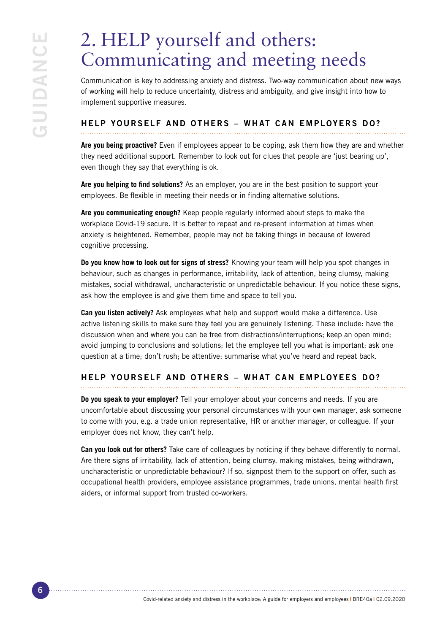## 2. HELP yourself and others: Communicating and meeting needs

Communication is key to addressing anxiety and distress. Two-way communication about new ways of working will help to reduce uncertainty, distress and ambiguity, and give insight into how to implement supportive measures.

## HELP YOURSELF AND OTHERS – WHAT CAN EMPLOYERS DO?

**Are you being proactive?** Even if employees appear to be coping, ask them how they are and whether they need additional support. Remember to look out for clues that people are 'just bearing up', even though they say that everything is ok.

**Are you helping to find solutions?** As an employer, you are in the best position to support your employees. Be flexible in meeting their needs or in finding alternative solutions.

**Are you communicating enough?** Keep people regularly informed about steps to make the workplace Covid-19 secure. It is better to repeat and re-present information at times when anxiety is heightened. Remember, people may not be taking things in because of lowered cognitive processing.

**Do you know how to look out for signs of stress?** Knowing your team will help you spot changes in behaviour, such as changes in performance, irritability, lack of attention, being clumsy, making mistakes, social withdrawal, uncharacteristic or unpredictable behaviour. If you notice these signs, ask how the employee is and give them time and space to tell you.

**Can you listen actively?** Ask employees what help and support would make a difference. Use active listening skills to make sure they feel you are genuinely listening. These include: have the discussion when and where you can be free from distractions/interruptions; keep an open mind; avoid jumping to conclusions and solutions; let the employee tell you what is important; ask one question at a time; don't rush; be attentive; summarise what you've heard and repeat back.

## HELP YOURSELF AND OTHERS – WHAT CAN EMPLOYEES DO?

**Do you speak to your employer?** Tell your employer about your concerns and needs. If you are uncomfortable about discussing your personal circumstances with your own manager, ask someone to come with you, e.g. a trade union representative, HR or another manager, or colleague. If your employer does not know, they can't help.

**Can you look out for others?** Take care of colleagues by noticing if they behave differently to normal. Are there signs of irritability, lack of attention, being clumsy, making mistakes, being withdrawn, uncharacteristic or unpredictable behaviour? If so, signpost them to the support on offer, such as occupational health providers, employee assistance programmes, trade unions, mental health first aiders, or informal support from trusted co-workers.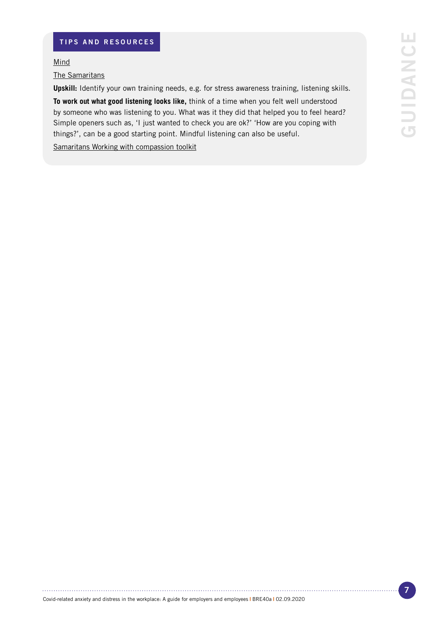### TIPS AND RESOURCES

[Mind](https://www.mind.org.uk/information-support/coronavirus/coronavirus-and-your-wellbeing/)

[The Samaritans](https://www.samaritans.org/)

**Upskill:** Identify your own training needs, e.g. for stress awareness training, listening skills.

**To work out what good listening looks like,** think of a time when you felt well understood by someone who was listening to you. What was it they did that helped you to feel heard? Simple openers such as, 'I just wanted to check you are ok?' 'How are you coping with things?', can be a good starting point. Mindful listening can also be useful.

[Samaritans Working with compassion toolkit](https://www.samaritans.org/wales/how-we-can-help/workplace/working-with-compassion-a-toolkit-for-wales/)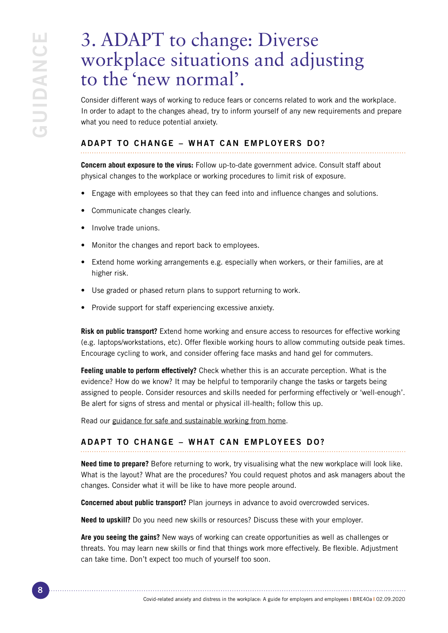## 3. ADAPT to change: Diverse workplace situations and adjusting to the 'new normal'.

Consider different ways of working to reduce fears or concerns related to work and the workplace. In order to adapt to the changes ahead, try to inform yourself of any new requirements and prepare what you need to reduce potential anxiety.

### ADAPT TO CHANGE – WHAT CAN EMPLOYERS DO?

**Concern about exposure to the virus:** Follow up-to-date government advice. Consult staff about physical changes to the workplace or working procedures to limit risk of exposure.

- Engage with employees so that they can feed into and influence changes and solutions.
- Communicate changes clearly.
- Involve trade unions.
- Monitor the changes and report back to employees.
- Extend home working arrangements e.g. especially when workers, or their families, are at higher risk.
- Use graded or phased return plans to support returning to work.
- Provide support for staff experiencing excessive anxiety.

**Risk on public transport?** Extend home working and ensure access to resources for effective working (e.g. laptops/workstations, etc). Offer flexible working hours to allow commuting outside peak times. Encourage cycling to work, and consider offering face masks and hand gel for commuters.

**Feeling unable to perform effectively?** Check whether this is an accurate perception. What is the evidence? How do we know? It may be helpful to temporarily change the tasks or targets being assigned to people. Consider resources and skills needed for performing effectively or 'well-enough'. Be alert for signs of stress and mental or physical ill-health; follow this up.

Read our [guidance for safe and sustainable working from home.](https://www.bps.org.uk/coronavirus-resources/public/working-from-home)

## ADAPT TO CHANGE – WHAT CAN EMPLOYEES DO?

**Need time to prepare?** Before returning to work, try visualising what the new workplace will look like. What is the layout? What are the procedures? You could request photos and ask managers about the changes. Consider what it will be like to have more people around.

**Concerned about public transport?** Plan journeys in advance to avoid overcrowded services.

**Need to upskill?** Do you need new skills or resources? Discuss these with your employer.

**Are you seeing the gains?** New ways of working can create opportunities as well as challenges or threats. You may learn new skills or find that things work more effectively. Be flexible. Adjustment can take time. Don't expect too much of yourself too soon.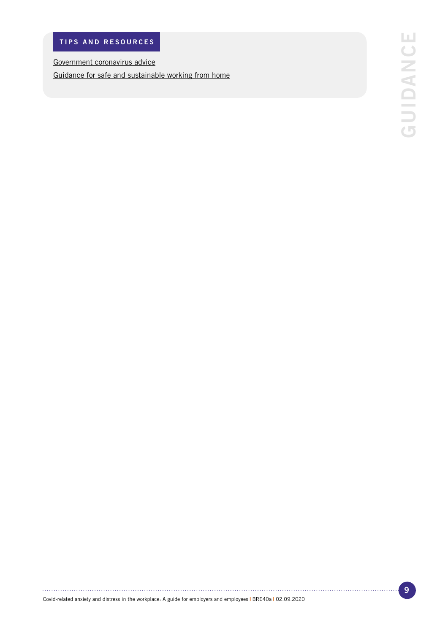[Government coronavirus advice](https://www.gov.uk/guidance/working-safely-during-coronavirus-covid-19 )

[Guidance for safe and sustainable working from home](https://www.bps.org.uk/sites/www.bps.org.uk/files/Policy/Policy%20-%20Files/Working%20from%20home.pdf)

. . . . . .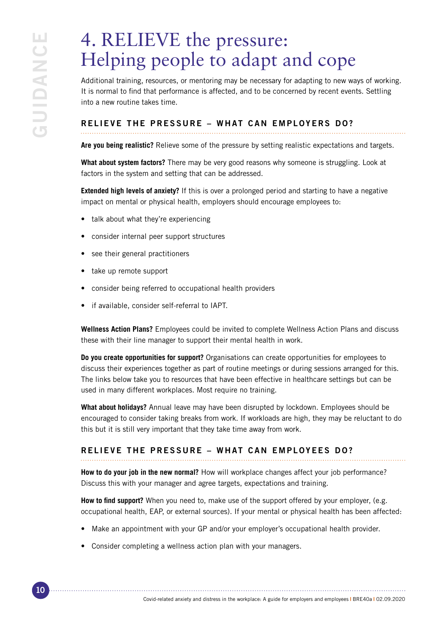## 4. RELIEVE the pressure: Helping people to adapt and cope

Additional training, resources, or mentoring may be necessary for adapting to new ways of working. It is normal to find that performance is affected, and to be concerned by recent events. Settling into a new routine takes time.

### RELIEVE THE PRESSURE – WHAT CAN EMPLOYERS DO?

**Are you being realistic?** Relieve some of the pressure by setting realistic expectations and targets.

**What about system factors?** There may be very good reasons why someone is struggling. Look at factors in the system and setting that can be addressed.

**Extended high levels of anxiety?** If this is over a prolonged period and starting to have a negative impact on mental or physical health, employers should encourage employees to:

- talk about what they're experiencing
- consider internal peer support structures
- see their general practitioners
- take up remote support
- consider being referred to occupational health providers
- if available, consider self-referral to IAPT.

**Wellness Action Plans?** Employees could be invited to complete Wellness Action Plans and discuss these with their line manager to support their mental health in work.

**Do you create opportunities for support?** Organisations can create opportunities for employees to discuss their experiences together as part of routine meetings or during sessions arranged for this. The links below take you to resources that have been effective in healthcare settings but can be used in many different workplaces. Most require no training.

**What about holidays?** Annual leave may have been disrupted by lockdown. Employees should be encouraged to consider taking breaks from work. If workloads are high, they may be reluctant to do this but it is still very important that they take time away from work.

#### RELIEVE THE PRESSURE – WHAT CAN EMPLOYEES DO?

**How to do your job in the new normal?** How will workplace changes affect your job performance? Discuss this with your manager and agree targets, expectations and training.

**How to find support?** When you need to, make use of the support offered by your employer, (e.g. occupational health, EAP, or external sources). If your mental or physical health has been affected:

- Make an appointment with your GP and/or your employer's occupational health provider.
- Consider completing a wellness action plan with your managers.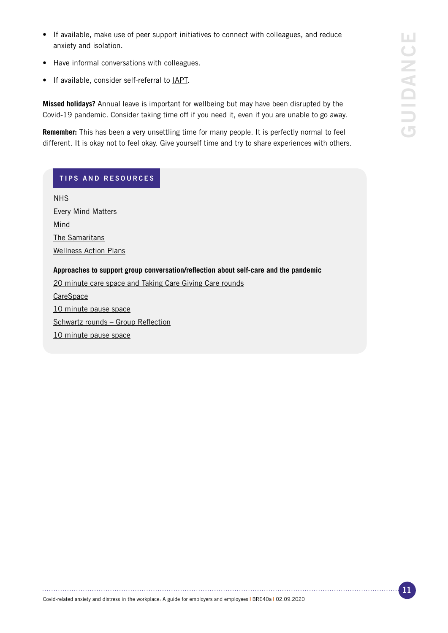- If available, make use of peer support initiatives to connect with colleagues, and reduce anxiety and isolation.
- Have informal conversations with colleagues.
- If available, consider self-referral to [IAPT](https://www.nhs.uk/service-search/find-a-psychological-therapies-service/).

**Missed holidays?** Annual leave is important for wellbeing but may have been disrupted by the Covid-19 pandemic. Consider taking time off if you need it, even if you are unable to go away.

**Remember:** This has been a very unsettling time for many people. It is perfectly normal to feel different. It is okay not to feel okay. Give yourself time and try to share experiences with others.

#### TIPS AND RESOURCES

[NHS](https://www.nhs.uk/conditions/stress-anxiety-depression/understanding-stress/) [Every Mind Matters](https://www.nhs.uk/oneyou/every-mind-matters/coronavirus-covid-19-staying-at-home-tips/) [Mind](https://www.mind.org.uk/information-support/coronavirus/coronavirus-and-your-wellbeing/) [The Samaritans](https://www.samaritans.org/) [Wellness Action Plans](https://www.mind.org.uk/media-a/4816/guide-to-waps-employees-english_interactive-op.pdf)

#### **Approaches to support group conversation/reflection about self-care and the pandemic**

[20 minute care space and Taking Care Giving Care rounds](https://acpuk.org.uk/20_min_care_space/)

**[CareSpace](https://www.ppma.org.uk/ppma-launches-rollout-of-the-carespace-self-care-programme-its-open-to-both-ppma-and-non-ppma-members/)** [10 minute pause space](https://people.nhs.uk/guides/creating-a-10-minute-pause-space/) [Schwartz rounds – Group Reflection](https://www.pointofcarefoundation.org.uk/our-work/schwartz-rounds/) [10 minute pause space](https://people.nhs.uk/guides/creating-a-10-minute-pause-space/)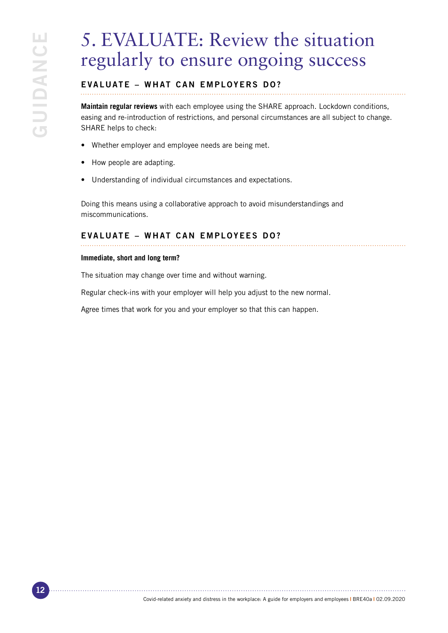## 5. EVALUATE: Review the situation regularly to ensure ongoing success

## EVALUATE – WHAT CAN EMPLOYERS DO?

**Maintain regular reviews** with each employee using the SHARE approach. Lockdown conditions, easing and re-introduction of restrictions, and personal circumstances are all subject to change. SHARE helps to check:

- Whether employer and employee needs are being met.
- How people are adapting.
- Understanding of individual circumstances and expectations.

Doing this means using a collaborative approach to avoid misunderstandings and miscommunications.

#### EVALUATE – WHAT CAN EMPLOYEES DO?

#### **Immediate, short and long term?**

The situation may change over time and without warning.

Regular check-ins with your employer will help you adjust to the new normal.

Agree times that work for you and your employer so that this can happen.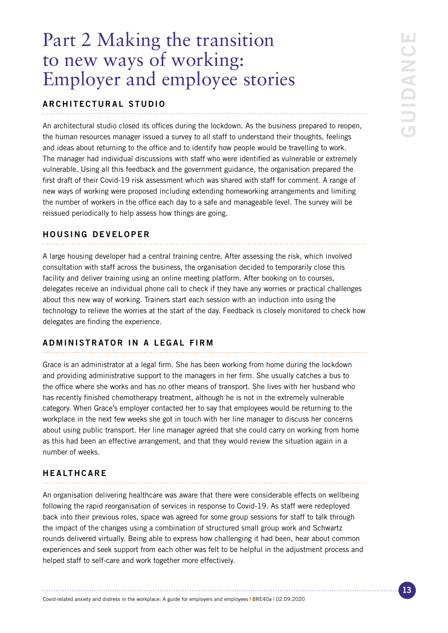## Part 2 Making the transition to new ways of working: Employer and employee stories

#### ARCHITECTURAL STUDIO

An architectural studio closed its offices during the lockdown. As the business prepared to reopen, the human resources manager issued a survey to all staff to understand their thoughts, feelings and ideas about returning to the office and to identify how people would be travelling to work. The manager had individual discussions with staff who were identified as vulnerable or extremely vulnerable. Using all this feedback and the government guidance, the organisation prepared the first draft of their Covid-19 risk assessment which was shared with staff for comment. A range of new ways of working were proposed including extending homeworking arrangements and limiting the number of workers in the office each day to a safe and manageable level. The survey will be reissued periodically to help assess how things are going.

#### HOUSING DEVELOPER

A large housing developer had a central training centre. After assessing the risk, which involved consultation with staff across the business, the organisation decided to temporarily close this facility and deliver training using an online meeting platform. After booking on to courses, delegates receive an individual phone call to check if they have any worries or practical challenges about this new way of working. Trainers start each session with an induction into using the technology to relieve the worries at the start of the day. Feedback is closely monitored to check how delegates are finding the experience.

#### ADMINISTRATOR IN A LEGAL FIRM

Grace is an administrator at a legal firm. She has been working from home during the lockdown and providing administrative support to the managers in her firm. She usually catches a bus to the office where she works and has no other means of transport. She lives with her husband who has recently finished chemotherapy treatment, although he is not in the extremely vulnerable category. When Grace's employer contacted her to say that employees would be returning to the workplace in the next few weeks she got in touch with her line manager to discuss her concerns about using public transport. Her line manager agreed that she could carry on working from home as this had been an effective arrangement, and that they would review the situation again in a number of weeks.

#### HEALTHCARE

An organisation delivering healthcare was aware that there were considerable effects on wellbeing following the rapid reorganisation of services in response to Covid-19. As staff were redeployed back into their previous roles, space was agreed for some group sessions for staff to talk through the impact of the changes using a combination of structured small group work and Schwartz rounds delivered virtually. Being able to express how challenging it had been, hear about common experiences and seek support from each other was felt to be helpful in the adjustment process and helped staff to self-care and work together more effectively.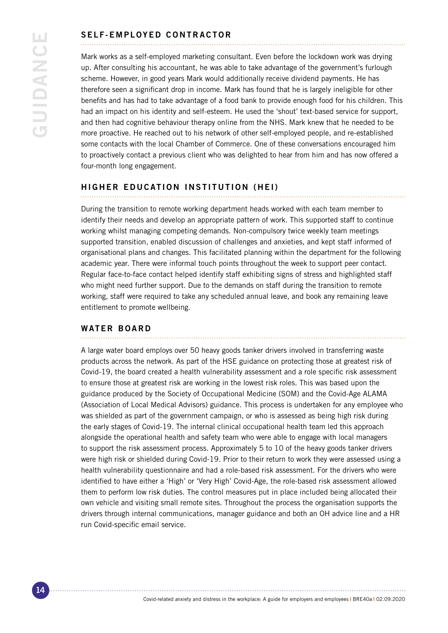## SELF-EMPLOYED CONTRACTOR

Mark works as a self-employed marketing consultant. Even before the lockdown work was drying up. After consulting his accountant, he was able to take advantage of the government's furlough scheme. However, in good years Mark would additionally receive dividend payments. He has therefore seen a significant drop in income. Mark has found that he is largely ineligible for other benefits and has had to take advantage of a food bank to provide enough food for his children. This had an impact on his identity and self-esteem. He used the 'shout' text-based service for support, and then had cognitive behaviour therapy online from the NHS. Mark knew that he needed to be more proactive. He reached out to his network of other self-employed people, and re-established some contacts with the local Chamber of Commerce. One of these conversations encouraged him to proactively contact a previous client who was delighted to hear from him and has now offered a four-month long engagement.

#### HIGHER EDUCATION INSTITUTION (HEI)

During the transition to remote working department heads worked with each team member to identify their needs and develop an appropriate pattern of work. This supported staff to continue working whilst managing competing demands. Non-compulsory twice weekly team meetings supported transition, enabled discussion of challenges and anxieties, and kept staff informed of organisational plans and changes. This facilitated planning within the department for the following academic year. There were informal touch points throughout the week to support peer contact. Regular face-to-face contact helped identify staff exhibiting signs of stress and highlighted staff who might need further support. Due to the demands on staff during the transition to remote working, staff were required to take any scheduled annual leave, and book any remaining leave entitlement to promote wellbeing.

#### WATER BOARD

A large water board employs over 50 heavy goods tanker drivers involved in transferring waste products across the network. As part of the HSE guidance on protecting those at greatest risk of Covid-19, the board created a health vulnerability assessment and a role specific risk assessment to ensure those at greatest risk are working in the lowest risk roles. This was based upon the guidance produced by the Society of Occupational Medicine (SOM) and the Covid-Age ALAMA (Association of Local Medical Advisors) guidance. This process is undertaken for any employee who was shielded as part of the government campaign, or who is assessed as being high risk during the early stages of Covid-19. The internal clinical occupational health team led this approach alongside the operational health and safety team who were able to engage with local managers to support the risk assessment process. Approximately 5 to 10 of the heavy goods tanker drivers were high risk or shielded during Covid-19. Prior to their return to work they were assessed using a health vulnerability questionnaire and had a role-based risk assessment. For the drivers who were identified to have either a 'High' or 'Very High' Covid-Age, the role-based risk assessment allowed them to perform low risk duties. The control measures put in place included being allocated their own vehicle and visiting small remote sites. Throughout the process the organisation supports the drivers through internal communications, manager guidance and both an OH advice line and a HR run Covid-specific email service.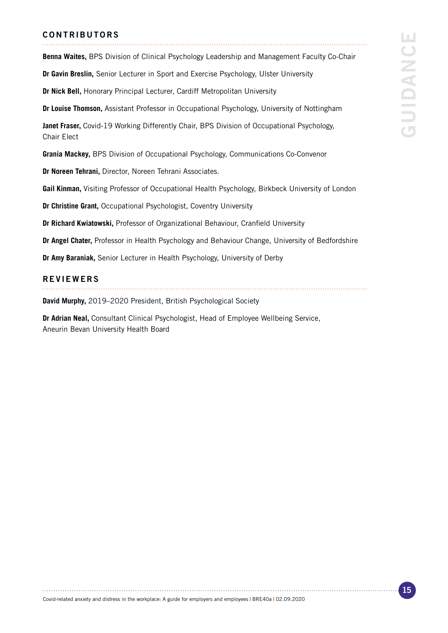#### CONTRIBUTORS

ш GUIDANCE GUIDANCI

**Benna Waites,** BPS Division of Clinical Psychology Leadership and Management Faculty Co-Chair

**Dr Gavin Breslin,** Senior Lecturer in Sport and Exercise Psychology, Ulster University

**Dr Nick Bell,** Honorary Principal Lecturer, Cardiff Metropolitan University

**Dr Louise Thomson,** Assistant Professor in Occupational Psychology, University of Nottingham

**Janet Fraser,** Covid-19 Working Differently Chair, BPS Division of Occupational Psychology, Chair Elect

**Grania Mackey,** BPS Division of Occupational Psychology, Communications Co-Convenor

**Dr Noreen Tehrani,** Director, Noreen Tehrani Associates.

**Gail Kinman,** Visiting Professor of Occupational Health Psychology, Birkbeck University of London

**Dr Christine Grant,** Occupational Psychologist, Coventry University

**Dr Richard Kwiatowski,** Professor of Organizational Behaviour, Cranfield University

**Dr Angel Chater,** Professor in Health Psychology and Behaviour Change, University of Bedfordshire

**Dr Amy Baraniak,** Senior Lecturer in Health Psychology, University of Derby

#### REVIEWERS

**David Murphy,** 2019–2020 President, British Psychological Society

**Dr Adrian Neal,** Consultant Clinical Psychologist, Head of Employee Wellbeing Service, Aneurin Bevan University Health Board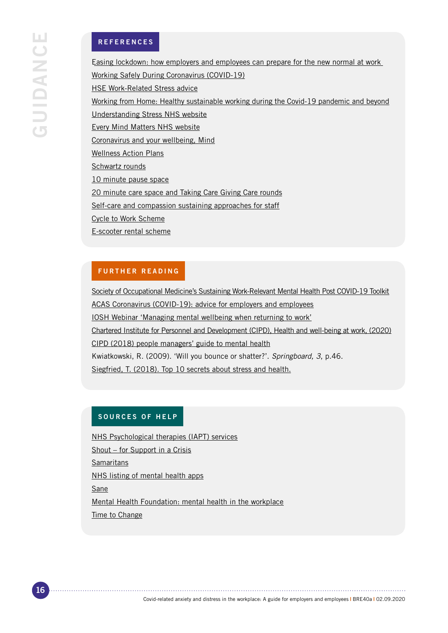#### REFERENCES

[Easing lockdown: how employers and employees can prepare for the new normal at work](https://www.bps.org.uk/coronavirus-resources/professional/easing-lockdown-new-normal-at-work) [Working Safely During Coronavirus \(COVID-19\)](https://www.gov.uk/guidance/working-safely-during-coronavirus-covid-19) [HSE Work-Related Stress advice](https://www.hse.gov.uk/stress/) [Working from Home: Healthy sustainable working during the Covid-19 pandemic and beyond](https://www.bps.org.uk/coronavirus-resources/public/working-from-home) [Understanding Stress NHS website](https://www.nhs.uk/conditions/stress-anxiety-depression/understanding-stress/) [Every Mind Matters NHS website](https://www.nhs.uk/oneyou/every-mind-matters/coronavirus-covid-19-staying-at-home-tips/) [Coronavirus and your wellbeing, Mind](https://www.mind.org.uk/information-support/coronavirus/coronavirus-and-your-wellbeing/) [Wellness Action Plans]( https://www.mind.org.uk/media-a/4816/guide-to-waps-employees-english_interactive-op.pdf) [Schwartz rounds](https://www.pointofcarefoundation.org.uk/our-work/schwartz-rounds/) [10 minute pause space](https://people.nhs.uk/guides/creating-a-10-minute-pause-space/) [20 minute care space and Taking Care Giving Care rounds](https://acpuk.org.uk/20_min_care_space/) [Self-care and compassion sustaining approaches for staff](http://www.compassionpractices.net) [Cycle to Work Scheme](https://www.cyclescheme.co.uk/) [E-scooter rental scheme](https://www.gov.uk/government/consultations/legalising-rental-e-scooter-trials-defining-e-scooters-and-rules-for-their-use/legalising-rental-e-scooter-trials)

#### FURTHER READING

[Society of Occupational Medicine's Sustaining Work-Relevant Mental Health Post COVID-19 Toolkit](https://www.som.org.uk/Sustaining_work_relevant_mental_health_post_COVID-19_toolkit.pdf) [ACAS Coronavirus \(COVID-19\): advice for employers and employees](https://www.acas.org.uk/coronavirus) [IOSH Webinar 'Managing mental wellbeing when returning to work'](https://www.youtube.com/watch?v=mJ5LS6DWD44&feature=youtu.be) [Chartered Institute for Personnel and Development \(CIPD\), Health and well-being at work, \(2020\)](https://www.cipd.co.uk/news-views/coronavirus/webinars/health-well-being-6-april-2020) [CIPD \(2018\) people managers' guide to mental health](https://www.cipd.co.uk/Images/mental-health-at-work-1_tcm18-10567.pdf) Kwiatkowski, R. (2009). 'Will you bounce or shatter?'. *Springboard, 3*, p.46. [Siegfried, T. \(2018\). Top 10 secrets about stress and health.](https://www.knowablemagazine.org/article/health-disease/2018/top-10-secrets-about-stress-and-health?intcmp=trendmd) 

### SOURCES OF HELP

[NHS Psychological therapies \(IAPT\) services](https://www.nhs.uk/service-search/other-services/Psychological%20therapies%20%28IAPT%29/LocationSearch/10008) [Shout – for Support in a Crisis](https://www.giveusashout.org/) **Samaritans** [NHS listing of mental health apps](https://www.nhs.uk/apps-library/filter/?categories=Mental%20health) **Sane** [Mental Health Foundation: mental health in the workplace](https://www.mentalhealth.org.uk/our-work/mental-health-workplace) [Time to Change](https://www.time-to-change.org.uk/)